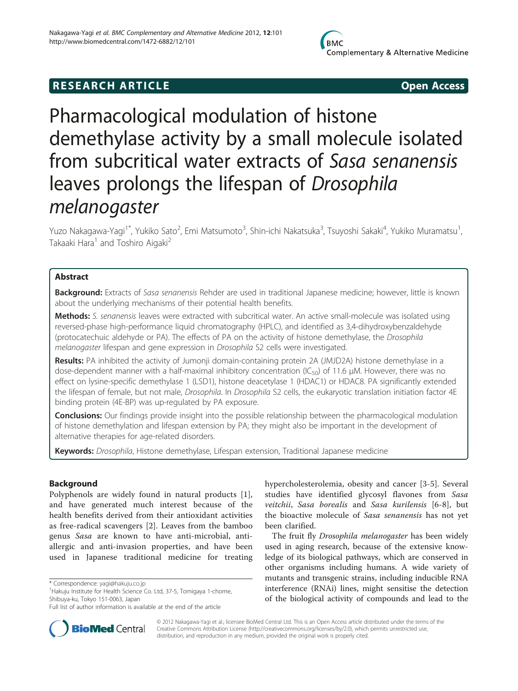# **RESEARCH ARTICLE Example 2018 12:00 Open Access**

# Pharmacological modulation of histone demethylase activity by a small molecule isolated from subcritical water extracts of Sasa senanensis leaves prolongs the lifespan of Drosophila melanogaster

Yuzo Nakagawa-Yagi<sup>1\*</sup>, Yukiko Sato<sup>2</sup>, Emi Matsumoto<sup>3</sup>, Shin-ichi Nakatsuka<sup>3</sup>, Tsuyoshi Sakaki<sup>4</sup>, Yukiko Muramatsu<sup>1</sup> , Takaaki Hara<sup>1</sup> and Toshiro Aigaki<sup>2</sup>

# Abstract

Background: Extracts of Sasa senanensis Rehder are used in traditional Japanese medicine; however, little is known about the underlying mechanisms of their potential health benefits.

Methods: S. senanensis leaves were extracted with subcritical water. An active small-molecule was isolated using reversed-phase high-performance liquid chromatography (HPLC), and identified as 3,4-dihydroxybenzaldehyde (protocatechuic aldehyde or PA). The effects of PA on the activity of histone demethylase, the Drosophila melanogaster lifespan and gene expression in Drosophila S2 cells were investigated.

Results: PA inhibited the activity of Jumonji domain-containing protein 2A (JMJD2A) histone demethylase in a dose-dependent manner with a half-maximal inhibitory concentration (IC<sub>50</sub>) of 11.6 μM. However, there was no effect on lysine-specific demethylase 1 (LSD1), histone deacetylase 1 (HDAC1) or HDAC8. PA significantly extended the lifespan of female, but not male, Drosophila. In Drosophila S2 cells, the eukaryotic translation initiation factor 4E binding protein (4E-BP) was up-regulated by PA exposure.

**Conclusions:** Our findings provide insight into the possible relationship between the pharmacological modulation of histone demethylation and lifespan extension by PA; they might also be important in the development of alternative therapies for age-related disorders.

Keywords: Drosophila, Histone demethylase, Lifespan extension, Traditional Japanese medicine

# Background

Polyphenols are widely found in natural products [\[1](#page-8-0)], and have generated much interest because of the health benefits derived from their antioxidant activities as free-radical scavengers [[2](#page-8-0)]. Leaves from the bamboo genus Sasa are known to have anti-microbial, antiallergic and anti-invasion properties, and have been used in Japanese traditional medicine for treating

hypercholesterolemia, obesity and cancer [\[3](#page-8-0)-[5\]](#page-8-0). Several studies have identified glycosyl flavones from Sasa veitchii, Sasa borealis and Sasa kurilensis [[6-8\]](#page-8-0), but the bioactive molecule of Sasa senanensis has not yet been clarified.

The fruit fly Drosophila melanogaster has been widely used in aging research, because of the extensive knowledge of its biological pathways, which are conserved in other organisms including humans. A wide variety of mutants and transgenic strains, including inducible RNA interference (RNAi) lines, might sensitise the detection of the biological activity of compounds and lead to the



© 2012 Nakagawa-Yagi et al.; licensee BioMed Central Ltd. This is an Open Access article distributed under the terms of the Creative Commons Attribution License (<http://creativecommons.org/licenses/by/2.0>), which permits unrestricted use, distribution, and reproduction in any medium, provided the original work is properly cited.

<sup>\*</sup> Correspondence: [yagi@hakuju.co.jp](mailto:yagi@hakuju.co.jp) <sup>1</sup>

<sup>&</sup>lt;sup>1</sup> Hakuju Institute for Health Science Co. Ltd, 37-5, Tomigaya 1-chome, Shibuya-ku, Tokyo 151-0063, Japan

Full list of author information is available at the end of the article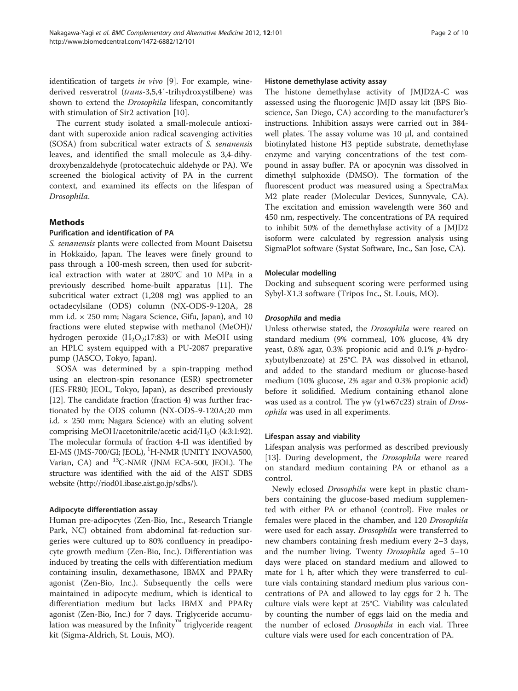<span id="page-1-0"></span>identification of targets in vivo [[9\]](#page-8-0). For example, winederived resveratrol (trans-3,5,4′-trihydroxystilbene) was shown to extend the Drosophila lifespan, concomitantly with stimulation of Sir2 activation [[10](#page-8-0)].

The current study isolated a small-molecule antioxidant with superoxide anion radical scavenging activities (SOSA) from subcritical water extracts of S. senanensis leaves, and identified the small molecule as 3,4-dihydroxybenzaldehyde (protocatechuic aldehyde or PA). We screened the biological activity of PA in the current context, and examined its effects on the lifespan of Drosophila.

# Methods

# Purification and identification of PA

S. senanensis plants were collected from Mount Daisetsu in Hokkaido, Japan. The leaves were finely ground to pass through a 100-mesh screen, then used for subcritical extraction with water at 280°C and 10 MPa in a previously described home-built apparatus [\[11](#page-8-0)]. The subcritical water extract (1,208 mg) was applied to an octadecylsilane (ODS) column (NX-ODS-9-120A, 28 mm i.d. × 250 mm; Nagara Science, Gifu, Japan), and 10 fractions were eluted stepwise with methanol (MeOH)/ hydrogen peroxide  $(H_2O_2;17:83)$  or with MeOH using an HPLC system equipped with a PU-2087 preparative pump (JASCO, Tokyo, Japan).

SOSA was determined by a spin-trapping method using an electron-spin resonance (ESR) spectrometer (JES-FR80; JEOL, Tokyo, Japan), as described previously [[12\]](#page-8-0). The candidate fraction (fraction 4) was further fractionated by the ODS column (NX-ODS-9-120A;20 mm i.d.  $\times$  250 mm; Nagara Science) with an eluting solvent comprising MeOH/acetonitrile/acetic acid/H2O (4:3:1:92). The molecular formula of fraction 4-II was identified by EI-MS (JMS-700/GI; JEOL), <sup>1</sup>H-NMR (UNITY INOVA500, Varian, CA) and 13C-NMR (JNM ECA-500, JEOL). The structure was identified with the aid of the AIST SDBS website [\(http://riod01.ibase.aist.go.jp/sdbs/](http://riod01.ibase.aist.go.jp/sdbs/)).

# Adipocyte differentiation assay

Human pre-adipocytes (Zen-Bio, Inc., Research Triangle Park, NC) obtained from abdominal fat-reduction surgeries were cultured up to 80% confluency in preadipocyte growth medium (Zen-Bio, Inc.). Differentiation was induced by treating the cells with differentiation medium containing insulin, dexamethasone, IBMX and PPARγ agonist (Zen-Bio, Inc.). Subsequently the cells were maintained in adipocyte medium, which is identical to differentiation medium but lacks IBMX and PPARγ agonist (Zen-Bio, Inc.) for 7 days. Triglyceride accumulation was measured by the Infinity™ triglyceride reagent kit (Sigma-Aldrich, St. Louis, MO).

#### Histone demethylase activity assay

The histone demethylase activity of JMJD2A-C was assessed using the fluorogenic JMJD assay kit (BPS Bioscience, San Diego, CA) according to the manufacturer's instructions. Inhibition assays were carried out in 384 well plates. The assay volume was 10 μl, and contained biotinylated histone H3 peptide substrate, demethylase enzyme and varying concentrations of the test compound in assay buffer. PA or apocynin was dissolved in dimethyl sulphoxide (DMSO). The formation of the fluorescent product was measured using a SpectraMax M2 plate reader (Molecular Devices, Sunnyvale, CA). The excitation and emission wavelength were 360 and 450 nm, respectively. The concentrations of PA required to inhibit 50% of the demethylase activity of a JMJD2 isoform were calculated by regression analysis using SigmaPlot software (Systat Software, Inc., San Jose, CA).

# Molecular modelling

Docking and subsequent scoring were performed using Sybyl-X1.3 software (Tripos Inc., St. Louis, MO).

# Drosophila and media

Unless otherwise stated, the Drosophila were reared on standard medium (9% cornmeal, 10% glucose, 4% dry yeast, 0.8% agar, 0.3% propionic acid and 0.1% p-hydroxybutylbenzoate) at 25°C. PA was dissolved in ethanol, and added to the standard medium or glucose-based medium (10% glucose, 2% agar and 0.3% propionic acid) before it solidified. Medium containing ethanol alone was used as a control. The yw (y1w67c23) strain of Drosophila was used in all experiments.

# Lifespan assay and viability

Lifespan analysis was performed as described previously [[13\]](#page-8-0). During development, the *Drosophila* were reared on standard medium containing PA or ethanol as a control.

Newly eclosed Drosophila were kept in plastic chambers containing the glucose-based medium supplemented with either PA or ethanol (control). Five males or females were placed in the chamber, and 120 Drosophila were used for each assay. Drosophila were transferred to new chambers containing fresh medium every 2–3 days, and the number living. Twenty *Drosophila* aged 5-10 days were placed on standard medium and allowed to mate for 1 h, after which they were transferred to culture vials containing standard medium plus various concentrations of PA and allowed to lay eggs for 2 h. The culture vials were kept at 25°C. Viability was calculated by counting the number of eggs laid on the media and the number of eclosed *Drosophila* in each vial. Three culture vials were used for each concentration of PA.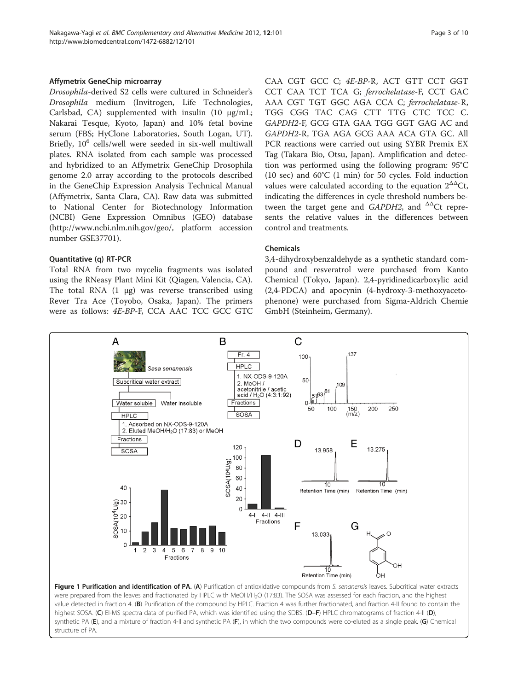#### <span id="page-2-0"></span>Affymetrix GeneChip microarray

Drosophila-derived S2 cells were cultured in Schneider's Drosophila medium (Invitrogen, Life Technologies, Carlsbad, CA) supplemented with insulin (10 μg/mL; Nakarai Tesque, Kyoto, Japan) and 10% fetal bovine serum (FBS; HyClone Laboratories, South Logan, UT). Briefly,  $10^6$  cells/well were seeded in six-well multiwall plates. RNA isolated from each sample was processed and hybridized to an Affymetrix GeneChip Drosophila genome 2.0 array according to the protocols described in the GeneChip Expression Analysis Technical Manual (Affymetrix, Santa Clara, CA). Raw data was submitted to National Center for Biotechnology Information (NCBI) Gene Expression Omnibus (GEO) database (http:/[/www.ncbi.nlm.nih.gov/geo/,](http://www.ncbi.nlm.nih.gov/geo/) platform accession number GSE37701).

#### Quantitative (q) RT-PCR

Total RNA from two mycelia fragments was isolated using the RNeasy Plant Mini Kit (Qiagen, Valencia, CA). The total RNA  $(1 \mu g)$  was reverse transcribed using Rever Tra Ace (Toyobo, Osaka, Japan). The primers were as follows: 4E-BP-F, CCA AAC TCC GCC GTC CAA CGT GCC C; 4E-BP-R, ACT GTT CCT GGT CCT CAA TCT TCA G; ferrochelatase-F, CCT GAC AAA CGT TGT GGC AGA CCA C; ferrochelatase-R, TGG CGG TAC CAG CTT TTG CTC TCC C. GAPDH2-F, GCG GTA GAA TGG GGT GAG AC and GAPDH2-R, TGA AGA GCG AAA ACA GTA GC. All PCR reactions were carried out using SYBR Premix EX Tag (Takara Bio, Otsu, Japan). Amplification and detection was performed using the following program: 95°C (10 sec) and 60°C (1 min) for 50 cycles. Fold induction values were calculated according to the equation  $2^{\Delta\Delta}$ Ct, indicating the differences in cycle threshold numbers between the target gene and  $GAPDH2$ , and  $^{\Delta\Delta}$ Ct represents the relative values in the differences between control and treatments.

# Chemicals

3,4-dihydroxybenzaldehyde as a synthetic standard compound and resveratrol were purchased from Kanto Chemical (Tokyo, Japan). 2,4-pyridinedicarboxylic acid (2,4-PDCA) and apocynin (4-hydroxy-3-methoxyacetophenone) were purchased from Sigma-Aldrich Chemie GmbH (Steinheim, Germany).



were prepared from the leaves and fractionated by HPLC with MeOH/H<sub>2</sub>O (17:83). The SOSA was assessed for each fraction, and the highest value detected in fraction 4. (B) Purification of the compound by HPLC. Fraction 4 was further fractionated, and fraction 4-II found to contain the highest SOSA. (C) EI-MS spectra data of purified PA, which was identified using the SDBS. (D-F) HPLC chromatograms of fraction 4-II (D), synthetic PA (E), and a mixture of fraction 4-II and synthetic PA (F), in which the two compounds were co-eluted as a single peak. (G) Chemical structure of PA.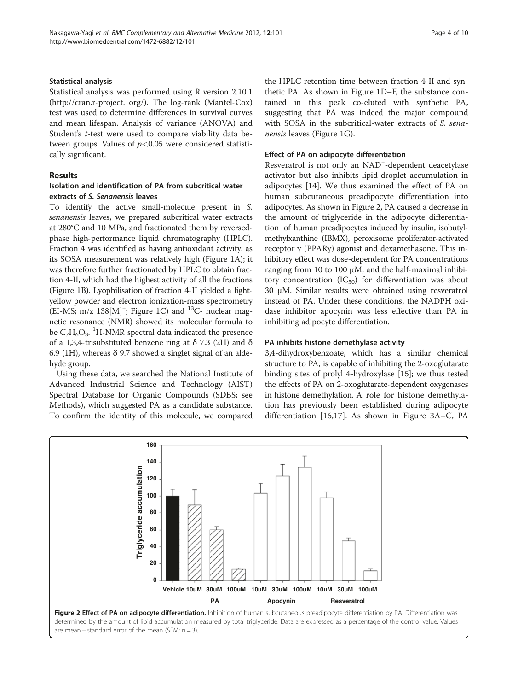#### Statistical analysis

Statistical analysis was performed using R version 2.10.1 ([http://cran.r-project.](http://cran.r-project) org/). The log-rank (Mantel-Cox) test was used to determine differences in survival curves and mean lifespan. Analysis of variance (ANOVA) and Student's t-test were used to compare viability data between groups. Values of  $p<0.05$  were considered statistically significant.

# Results

# Isolation and identification of PA from subcritical water extracts of S. Senanensis leaves

To identify the active small-molecule present in S. senanensis leaves, we prepared subcritical water extracts at 280°C and 10 MPa, and fractionated them by reversedphase high-performance liquid chromatography (HPLC). Fraction 4 was identified as having antioxidant activity, as its SOSA measurement was relatively high (Figure [1A](#page-2-0)); it was therefore further fractionated by HPLC to obtain fraction 4-II, which had the highest activity of all the fractions (Figure [1B\)](#page-2-0). Lyophilisation of fraction 4-II yielded a lightyellow powder and electron ionization-mass spectrometry (EI-MS; m/z  $138[M]$ <sup>+</sup>; Figure [1C\)](#page-2-0) and <sup>13</sup>C- nuclear magnetic resonance (NMR) showed its molecular formula to be  $C_7H_6O_3$ . <sup>1</sup>H-NMR spectral data indicated the presence of a 1,3,4-trisubstituted benzene ring at  $\delta$  7.3 (2H) and  $\delta$ 6.9 (1H), whereas δ 9.7 showed a singlet signal of an aldehyde group.

Using these data, we searched the National Institute of Advanced Industrial Science and Technology (AIST) Spectral Database for Organic Compounds (SDBS; see [Methods\)](#page-1-0), which suggested PA as a candidate substance. To confirm the identity of this molecule, we compared

the HPLC retention time between fraction 4-II and synthetic PA. As shown in Figure [1D](#page-2-0)–F, the substance contained in this peak co-eluted with synthetic PA, suggesting that PA was indeed the major compound with SOSA in the subcritical-water extracts of S. senanensis leaves (Figure [1G\)](#page-2-0).

#### Effect of PA on adipocyte differentiation

Resveratrol is not only an NAD<sup>+</sup>-dependent deacetylase activator but also inhibits lipid-droplet accumulation in adipocytes [[14](#page-8-0)]. We thus examined the effect of PA on human subcutaneous preadipocyte differentiation into adipocytes. As shown in Figure 2, PA caused a decrease in the amount of triglyceride in the adipocyte differentiation of human preadipocytes induced by insulin, isobutylmethylxanthine (IBMX), peroxisome proliferator-activated receptor γ (PPARγ) agonist and dexamethasone. This inhibitory effect was dose-dependent for PA concentrations ranging from 10 to 100  $\mu$ M, and the half-maximal inhibitory concentration  $(IC_{50})$  for differentiation was about 30 μM. Similar results were obtained using resveratrol instead of PA. Under these conditions, the NADPH oxidase inhibitor apocynin was less effective than PA in inhibiting adipocyte differentiation.

# PA inhibits histone demethylase activity

3,4-dihydroxybenzoate, which has a similar chemical structure to PA, is capable of inhibiting the 2-oxoglutarate binding sites of prolyl 4-hydroxylase [[15](#page-8-0)]; we thus tested the effects of PA on 2-oxoglutarate-dependent oxygenases in histone demethylation. A role for histone demethylation has previously been established during adipocyte differentiation [[16,17\]](#page-8-0). As shown in Figure [3A](#page-4-0)–[C](#page-4-0), PA



are mean  $\pm$  standard error of the mean (SEM;  $n = 3$ ).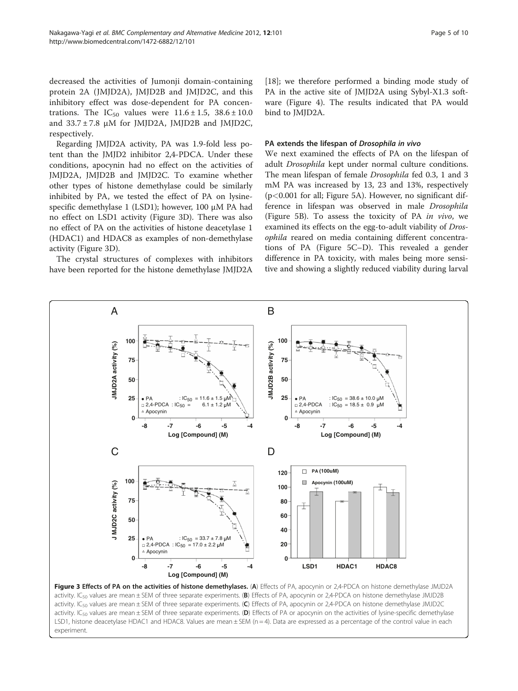<span id="page-4-0"></span>decreased the activities of Jumonji domain-containing protein 2A (JMJD2A), JMJD2B and JMJD2C, and this inhibitory effect was dose-dependent for PA concentrations. The IC<sub>50</sub> values were  $11.6 \pm 1.5$ ,  $38.6 \pm 10.0$ and  $33.7 \pm 7.8$  µM for JMJD2A, JMJD2B and JMJD2C, respectively.

Regarding JMJD2A activity, PA was 1.9-fold less potent than the JMJD2 inhibitor 2,4-PDCA. Under these conditions, apocynin had no effect on the activities of JMJD2A, JMJD2B and JMJD2C. To examine whether other types of histone demethylase could be similarly inhibited by PA, we tested the effect of PA on lysinespecific demethylase 1 (LSD1); however, 100 μM PA had no effect on LSD1 activity (Figure 3D). There was also no effect of PA on the activities of histone deacetylase 1 (HDAC1) and HDAC8 as examples of non-demethylase activity (Figure 3D).

The crystal structures of complexes with inhibitors have been reported for the histone demethylase JMJD2A [[18\]](#page-8-0); we therefore performed a binding mode study of PA in the active site of JMJD2A using Sybyl-X1.3 software (Figure [4](#page-5-0)). The results indicated that PA would bind to JMJD2A.

#### PA extends the lifespan of Drosophila in vivo

We next examined the effects of PA on the lifespan of adult Drosophila kept under normal culture conditions. The mean lifespan of female Drosophila fed 0.3, 1 and 3 mM PA was increased by 13, 23 and 13%, respectively (p<0.001 for all; Figure [5A](#page-6-0)). However, no significant difference in lifespan was observed in male Drosophila (Figure [5B\)](#page-6-0). To assess the toxicity of PA in vivo, we examined its effects on the egg-to-adult viability of Drosophila reared on media containing different concentrations of PA (Figure [5C](#page-6-0)–[D\)](#page-6-0). This revealed a gender difference in PA toxicity, with males being more sensitive and showing a slightly reduced viability during larval



Figure 3 Effects of PA on the activities of histone demethylases. (A) Effects of PA, apocynin or 2,4-PDCA on histone demethylase JMJD2A activity. IC<sub>50</sub> values are mean  $\pm$  SEM of three separate experiments. (B) Effects of PA, apocynin or 2,4-PDCA on histone demethylase JMJD2B activity. IC<sub>50</sub> values are mean ± SEM of three separate experiments. (C) Effects of PA, apocynin or 2,4-PDCA on histone demethylase JMJD2C activity. IC<sub>50</sub> values are mean  $\pm$  SEM of three separate experiments. (D) Effects of PA or apocynin on the activities of lysine-specific demethylase LSD1, histone deacetylase HDAC1 and HDAC8. Values are mean ± SEM (n = 4). Data are expressed as a percentage of the control value in each experiment.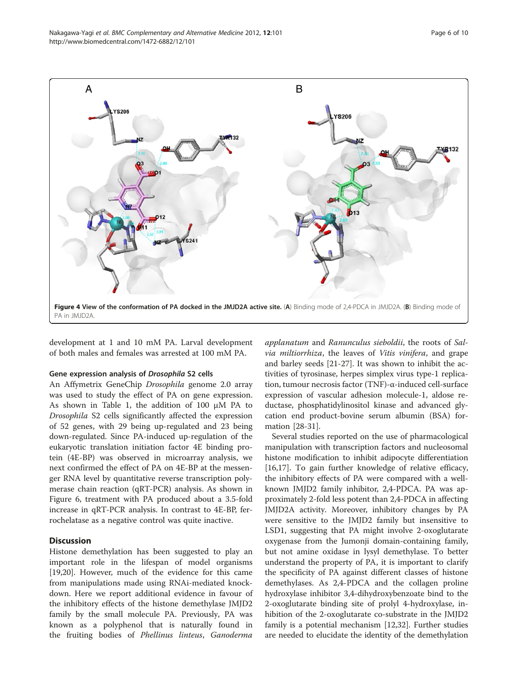<span id="page-5-0"></span>

development at 1 and 10 mM PA. Larval development of both males and females was arrested at 100 mM PA.

#### Gene expression analysis of Drosophila S2 cells

An Affymetrix GeneChip Drosophila genome 2.0 array was used to study the effect of PA on gene expression. As shown in Table [1](#page-7-0), the addition of 100 μM PA to Drosophila S2 cells significantly affected the expression of 52 genes, with 29 being up-regulated and 23 being down-regulated. Since PA-induced up-regulation of the eukaryotic translation initiation factor 4E binding protein (4E-BP) was observed in microarray analysis, we next confirmed the effect of PA on 4E-BP at the messenger RNA level by quantitative reverse transcription polymerase chain reaction (qRT-PCR) analysis. As shown in Figure [6,](#page-7-0) treatment with PA produced about a 3.5-fold increase in qRT-PCR analysis. In contrast to 4E-BP, ferrochelatase as a negative control was quite inactive.

# **Discussion**

Histone demethylation has been suggested to play an important role in the lifespan of model organisms [[19,20\]](#page-8-0). However, much of the evidence for this came from manipulations made using RNAi-mediated knockdown. Here we report additional evidence in favour of the inhibitory effects of the histone demethylase JMJD2 family by the small molecule PA. Previously, PA was known as a polyphenol that is naturally found in the fruiting bodies of Phellinus linteus, Ganoderma

applanatum and Ranunculus sieboldii, the roots of Salvia miltiorrhiza, the leaves of Vitis vinifera, and grape and barley seeds [[21-](#page-8-0)[27](#page-9-0)]. It was shown to inhibit the activities of tyrosinase, herpes simplex virus type-1 replication, tumour necrosis factor (TNF)-α-induced cell-surface expression of vascular adhesion molecule-1, aldose reductase, phosphatidylinositol kinase and advanced glycation end product-bovine serum albumin (BSA) formation [\[28-31](#page-9-0)].

Several studies reported on the use of pharmacological manipulation with transcription factors and nucleosomal histone modification to inhibit adipocyte differentiation [[16,17\]](#page-8-0). To gain further knowledge of relative efficacy, the inhibitory effects of PA were compared with a wellknown JMJD2 family inhibitor, 2,4-PDCA. PA was approximately 2-fold less potent than 2,4-PDCA in affecting JMJD2A activity. Moreover, inhibitory changes by PA were sensitive to the JMJD2 family but insensitive to LSD1, suggesting that PA might involve 2-oxoglutarate oxygenase from the Jumonji domain-containing family, but not amine oxidase in lysyl demethylase. To better understand the property of PA, it is important to clarify the specificity of PA against different classes of histone demethylases. As 2,4-PDCA and the collagen proline hydroxylase inhibitor 3,4-dihydroxybenzoate bind to the 2-oxoglutarate binding site of prolyl 4-hydroxylase, inhibition of the 2-oxoglutarate co-substrate in the JMJD2 family is a potential mechanism [\[12,](#page-8-0)[32\]](#page-9-0). Further studies are needed to elucidate the identity of the demethylation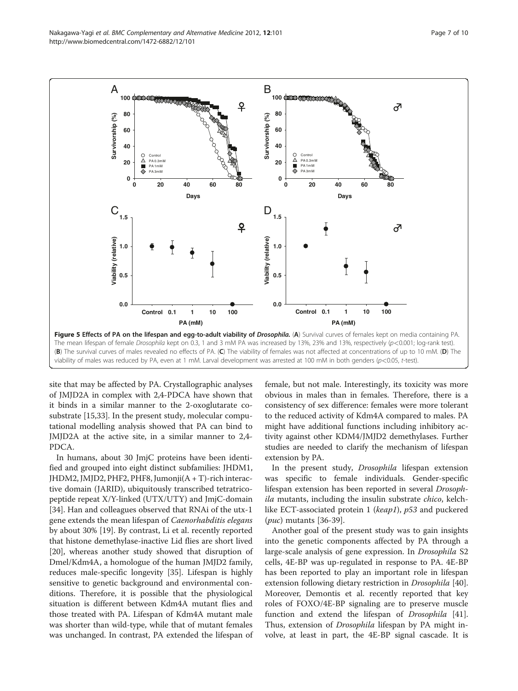<span id="page-6-0"></span>

site that may be affected by PA. Crystallographic analyses of JMJD2A in complex with 2,4-PDCA have shown that it binds in a similar manner to the 2-oxoglutarate cosubstrate [\[15](#page-8-0)[,33](#page-9-0)]. In the present study, molecular computational modelling analysis showed that PA can bind to JMJD2A at the active site, in a similar manner to 2,4- PDCA.

In humans, about 30 JmjC proteins have been identified and grouped into eight distinct subfamilies: JHDM1, JHDM2, JMJD2, PHF2, PHF8, Jumonji(A + T)-rich interactive domain (JARID), ubiquitously transcribed tetratricopeptide repeat X/Y-linked (UTX/UTY) and JmjC-domain [[34\]](#page-9-0). Han and colleagues observed that RNAi of the utx-1 gene extends the mean lifespan of Caenorhabditis elegans by about 30% [[19\]](#page-8-0). By contrast, Li et al. recently reported that histone demethylase-inactive Lid flies are short lived [[20\]](#page-8-0), whereas another study showed that disruption of Dmel/Kdm4A, a homologue of the human JMJD2 family, reduces male-specific longevity [[35\]](#page-9-0). Lifespan is highly sensitive to genetic background and environmental conditions. Therefore, it is possible that the physiological situation is different between Kdm4A mutant flies and those treated with PA. Lifespan of Kdm4A mutant male was shorter than wild-type, while that of mutant females was unchanged. In contrast, PA extended the lifespan of female, but not male. Interestingly, its toxicity was more obvious in males than in females. Therefore, there is a consistency of sex difference: females were more tolerant to the reduced activity of Kdm4A compared to males. PA might have additional functions including inhibitory activity against other KDM4/JMJD2 demethylases. Further studies are needed to clarify the mechanism of lifespan extension by PA.

In the present study, Drosophila lifespan extension was specific to female individuals. Gender-specific lifespan extension has been reported in several Drosophila mutants, including the insulin substrate chico, kelchlike ECT-associated protein 1 (keap1), p53 and puckered (puc) mutants [\[36-39](#page-9-0)].

Another goal of the present study was to gain insights into the genetic components affected by PA through a large-scale analysis of gene expression. In Drosophila S2 cells, 4E-BP was up-regulated in response to PA. 4E-BP has been reported to play an important role in lifespan extension following dietary restriction in *Drosophila* [\[40](#page-9-0)]. Moreover, Demontis et al. recently reported that key roles of FOXO/4E-BP signaling are to preserve muscle function and extend the lifespan of *Drosophila* [\[41](#page-9-0)]. Thus, extension of *Drosophila* lifespan by PA might involve, at least in part, the 4E-BP signal cascade. It is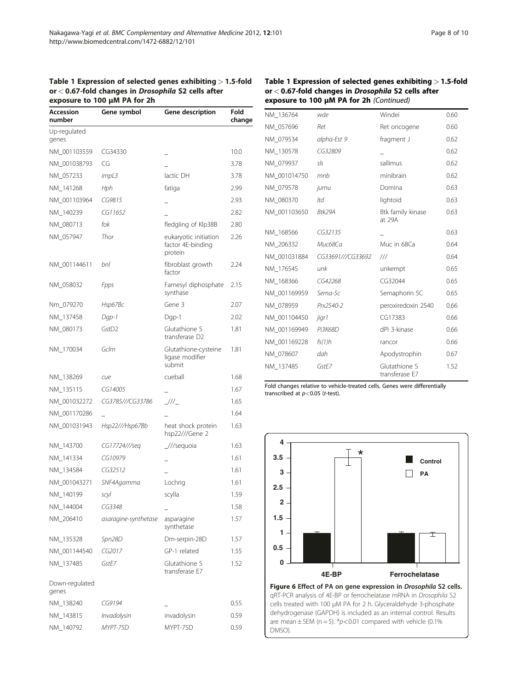<span id="page-7-0"></span>

| Accession<br>number     | Gene symbol          | Gene description                                      | Fold<br>change |
|-------------------------|----------------------|-------------------------------------------------------|----------------|
| Up-regulated<br>genes   |                      |                                                       |                |
| NM 001103559            | CG34330              |                                                       | 10.0           |
| NM_001038793            | CG                   |                                                       | 3.78           |
| NM_057233               | impl3                | lactic DH                                             | 3.78           |
| NM_141268               | Hph                  | fatiga                                                | 2.99           |
| NM_001103964            | CG9815               |                                                       | 2.93           |
| NM_140239               | CG11652              |                                                       | 2.82           |
| NM_080713               | fok                  | fledgling of Klp38B                                   | 2.80           |
| NM_057947               | Thor                 | eukaryotic initiation<br>factor 4E-binding<br>protein | 2.26           |
| NM_001144611            | bnl                  | fibroblast growth<br>factor                           | 2.24           |
| NM_058032               | Fpps                 | Famesyl diphosphate<br>synthase                       | 2.15           |
| Nm_079270               | Hsp67Bc              | Gene 3                                                | 2.07           |
| NM_137458               | Dgp-1                | Dgp-1                                                 | 2.02           |
| NM_080173               | GstD <sub>2</sub>    | Glutathione S<br>transferase D <sub>2</sub>           | 1.81           |
| NM_170034               | GcIm                 | Glutathione-cysteine<br>ligase modifier<br>submit     | 1.81           |
| NM_138269               | cue                  | cueball                                               | 1.68           |
| NM_135115               | CG14005              |                                                       | 1.67           |
| NM_001032272            | CG3785///CG33786     | 1/1/2                                                 | 1.65           |
| NM_001170286            |                      |                                                       | 1.64           |
| NM_001031943            | Hsp22///Hsp67Bb      | heat shock protein<br>hsp22///Gene 2                  | 1.63           |
| NM_143700               | CG17724///seq        | $1$ //sequoia                                         | 1.63           |
| NM_141334               | CG10979              |                                                       | 1.61           |
| NM_134584               | CG32512              |                                                       | 1.61           |
| NM 001043271            | SNF4Agamma           | Lochrig                                               | 1.61           |
| NM_140199               | scyl                 | scylla                                                | 1.59           |
| NM_144004               | CG3348               |                                                       | 1.58           |
| NM_206410               | asaragine-synthetase | asparagine<br>synthetase                              | 1.57           |
| NM_135328               | Spn28D               | Dm-serpin-28D                                         | 1.57           |
| NM_001144540            | CG2017               | GP-1 related                                          | 1.55           |
| NM_137485               | GstE7                | Glutathione S<br>transferase E7                       | 1.52           |
| Down-regulated<br>genes |                      |                                                       |                |
| NM_138240               | CG9194               |                                                       | 0.55           |
| NM_143815               | Invadolysin          | invadolysin                                           | 0.59           |
| NM_140792               | MYPT-75D             | MYPT-75D                                              | 0.59           |

#### Table 1 Expression of selected genes exhibiting > 1.5-fold or < 0.67-fold changes in Drosophila S2 cells after exposure to 100 μM PA for 2h (Continued)

| NM_136764    | wde               | Windei                          | 0.60 |
|--------------|-------------------|---------------------------------|------|
| NM 057696    | Ret               | Ret oncogene                    | 0.60 |
| NM_079534    | alpha-Est 9       | fragment J                      | 0.62 |
| NM 130578    | CG32809           |                                 | 0.62 |
| NM 079937    | sls               | sallimus                        | 0.62 |
| NM 001014750 | mnh               | minibrain                       | 0.62 |
| NM 079578    | jumu              | Domina                          | 0.63 |
| NM 080370    | ltd               | lightoid                        | 0.63 |
| NM 001103650 | Btk29A            | Btk family kinase<br>at 29A     | 0.63 |
| NM_168566    | CG32135           |                                 | 0.63 |
| NM 206332    | Мис68Са           | Muc in 68Ca                     | 0.64 |
| NM 001031884 | CG33691///CG33692 | $^{\prime\prime\prime}$         | 0.64 |
| NM 176545    | unk               | unkempt                         | 0.65 |
| NM 168366    | CG42268           | CG32044                         | 0.65 |
| NM 001169959 | Sema-5c           | Semaphorin 5C                   | 0.65 |
| NM 078959    | Prx2540-2         | peroxiredoxin 2540              | 0.66 |
| NM 001104450 | jigr1             | CG17383                         | 0.66 |
| NM 001169949 | Pi3K68D           | dPI 3-kinase                    | 0.66 |
| NM 001169228 | fs(1)h            | rancor                          | 0.66 |
| NM_078607    | dah               | Apodystrophin                   | 0.67 |
| NM 137485    | GstF7             | Glutathione S<br>transferase E7 | 1.52 |

Fold changes relative to vehicle-treated cells. Genes were differentially transcribed at  $p < 0.05$  (t-test).



Figure 6 Effect of PA on gene expression in Drosophila S2 cells. qRT-PCR analysis of 4E-BP or ferrochelatase mRNA in Drosophila S2 cells treated with 100 μM PA for 2 h. Glyceraldehyde 3-phosphate dehydrogenase (GAPDH) is included as an internal control. Results are mean  $\pm$  SEM (n = 5). \*p<0.01 compared with vehicle (0.1%) DMSO).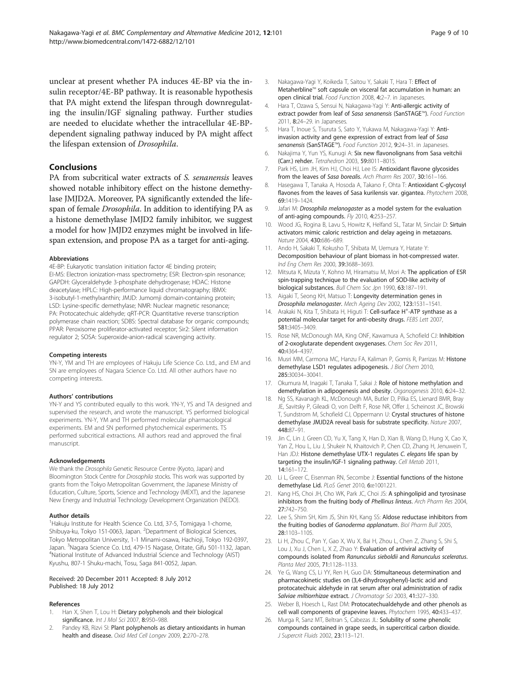<span id="page-8-0"></span>are needed to elucidate whether the intracellular 4E-BPdependent signaling pathway induced by PA might affect the lifespan extension of Drosophila.

#### **Conclusions**

PA from subcritical water extracts of S. senanensis leaves showed notable inhibitory effect on the histone demethylase JMJD2A. Moreover, PA significantly extended the lifespan of female Drosophila. In addition to identifying PA as a histone demethylase JMJD2 family inhibitor, we suggest a model for how JMJD2 enzymes might be involved in lifespan extension, and propose PA as a target for anti-aging.

#### Abbreviations

4E-BP: Eukaryotic translation initiation factor 4E binding protein; EI-MS: Electron ionization-mass spectrometry; ESR: Electron-spin resonance; GAPDH: Glyceraldehyde 3-phosphate dehydrogenase; HDAC: Histone deacetylase; HPLC: High-performance liquid chromatography; IBMX: 3-isobutyl-1-methylxanthin; JMJD: Jumomji domain-containing protein; LSD: Lysine-specific demethylase; NMR: Nuclear magnetic resonance; PA: Protocatechuic aldehyde; qRT-PCR: Quantitative reverse transcription polymerase chain reaction; SDBS: Spectral database for organic compounds; PPAR: Peroxisome proliferator-activated receptor; Sir2: Silent information regulator 2; SOSA: Superoxide-anion-radical scavenging activity.

#### Competing interests

YN-Y, YM and TH are employees of Hakuju Life Science Co. Ltd., and EM and SN are employees of Nagara Science Co. Ltd. All other authors have no competing interests.

#### Authors' contributions

YN-Y and YS contributed equally to this work. YN-Y, YS and TA designed and supervised the research, and wrote the manuscript. YS performed biological experiments. YN-Y, YM and TH performed molecular pharmacological experiments. EM and SN performed phytochemical experiments. TS performed subcritical extractions. All authors read and approved the final manuscript.

#### Acknowledgements

We thank the Drosophila Genetic Resource Centre (Kyoto, Japan) and Bloomington Stock Centre for Drosophila stocks. This work was supported by grants from the Tokyo Metropolitan Government, the Japanese Ministry of Education, Culture, Sports, Science and Technology (MEXT), and the Japanese New Energy and Industrial Technology Development Organization (NEDO).

#### Author details

<sup>1</sup> Hakuju Institute for Health Science Co. Ltd, 37-5, Tomigaya 1-chome, Shibuya-ku, Tokyo 151-0063, Japan. <sup>2</sup>Department of Biological Sciences, Tokyo Metropolitan University, 1-1 Minami-osawa, Hachioji, Tokyo 192-0397, Japan. <sup>3</sup>Nagara Science Co. Ltd, 479-15 Nagase, Oritate, Gifu 501-1132, Japan.<br><sup>4</sup>National Institute of Advanced Industrial Science and Technology (AIST) National Institute of Advanced Industrial Science and Technology (AIST) Kyushu, 807-1 Shuku-machi, Tosu, Saga 841-0052, Japan.

#### Received: 20 December 2011 Accepted: 8 July 2012 Published: 18 July 2012

#### References

- 1. Han X, Shen T, Lou H: Dietary polyphenols and their biological significance. Int J Mol Sci 2007, 8:950-988.
- 2. Pandey KB, Rizvi SI: Plant polyphenols as dietary antioxidants in human health and disease. Oxid Med Cell Longev 2009, 2:270–278.
- 3. Nakagawa-Yagi Y, Koikeda T, Saitou Y, Sakaki T, Hara T: Effect of Metaherbline™ soft capsule on visceral fat accumulation in human: an open clinical trial. Food Function 2008, 4:2–7. in Japaneses.
- 4. Hara T, Ozawa S, Sensui N, Nakagawa-Yagi Y: Anti-allergic activity of extract powder from leaf of Sasa senanensis (SanSTAGE™). Food Function 2011, 8:24–29. in Japaneses.
- 5. Hara T, Inoue S, Tsuruta S, Sato Y, Yukawa M, Nakagawa-Yagi Y: Antiinvasion activity and gene expression of extract from leaf of Sasa senanensis (SanSTAGE™). Food Function 2012, 9:24-31. in Japaneses.
- 6. Nakajima Y, Yun YS, Kunugi A: Six new flavonolignans from Sasa veitchii (Carr.) rehder. Tetrahedron 2003, 59:8011–8015.
- 7. Park HS, Lim JH, Kim HJ, Choi HJ, Lee IS: Antioxidant flavone glycosides from the leaves of Sasa borealis. Arch Pharm Res 2007, 30:161-166.
- 8. Hasegawa T, Tanaka A, Hosoda A, Takano F, Ohta T: Antioxidant C-glycosyl flavones from the leaves of Sasa kurilensis var. gigantea. Phytochem 2008, 69:1419–1424.
- 9. Jafari M: Drosophila melanogaster as a model system for the evaluation of anti-aging compounds. Fly 2010, 4:253-257.
- 10. Wood JG, Rogina B, Lavu S, Howitz K, Helfand SL, Tatar M, Sinclair D: Sirtuin activators mimic caloric restriction and delay ageing in metazoans. Nature 2004, 430:686–689.
- 11. Ando H, Sakaki T, Kokusho T, Shibata M, Uemura Y, Hatate Y: Decomposition behaviour of plant biomass in hot-compressed water. Ind Eng Chem Res 2000, 39:3688–3693.
- 12. Mitsuta K, Mizuta Y, Kohno M, Hiramatsu M, Mori A: The application of ESR spin-trapping technique to the evaluation of SOD-like activity of biological substances. Bull Chem Soc Jpn 1990, 63:187–191.
- 13. Aigaki T, Seong KH, Matsuo T: Longevity determination genes in Drosophila melanogaster. Mech Ageing Dev 2002, 123:1531–1541.
- 14. Arakaki N, Kita T, Shibata H, Higuti T: Cell-surface H<sup>+</sup>-ATP synthase as a potential molecular target for anti-obesity drugs. FEBS Lett 2007, 581:3405–3409.
- 15. Rose NR, McDonough MA, King ONF, Kawamura A, Schofield CJ: Inhibition of 2-oxoglutarate dependent oxygenases. Chem Soc Rev 2011, 40:4364–4397.
- 16. Musri MM, Carmona MC, Hanzu FA, Kaliman P, Gomis R, Parrizas M: Histone demethylase LSD1 regulates adipogenesis. *J Biol Chem 2010*, 285:30034–30041.
- 17. Okumura M, Inagaki T, Tanaka T, Sakai J: Role of histone methylation and demethylation in adipogenesis and obesity. Organogenesis 2010, 6:24–32.
- 18. Ng SS, Kavanagh KL, McDonough MA, Butler D, Pilka ES, Lienard BMR, Bray JE, Savitsky P, Gileadi O, von Delft F, Rose NR, Offer J, Scheinost JC, Browski T, Sundstrom M, Schofield CJ, Oppermann U: Crystal structures of histone demethylase JMJD2A reveal basis for substrate specificity. Nature 2007, 448:87–91.
- 19. Jin C, Lin J, Green CD, Yu X, Tang X, Han D, Xian B, Wang D, Hung X, Cao X, Yan Z, Hou L, Liu J, Shukeir N, Khaitovich P, Chen CD, Zhang H, Jenuwein T, Han JDJ: Histone demethylase UTX-1 regulates C. elegans life span by targeting the insulin/IGF-1 signaling pathway. Cell Metab 2011, 14:161–172.
- 20. Li L, Greer C, Eisenman RN, Secombe J: Essential functions of the histone demethylase Lid. PLoS Genet 2010, 6:e1001221.
- 21. Kang HS, Choi JH, Cho WK, Park JC, Choi JS: A sphingolipid and tyrosinase inhibitors from the fruiting body of Phellinus linteus. Arch Pharm Res 2004, 27:742–750.
- 22. Lee S, Shim SH, Kim JS, Shin KH, Kang SS: Aldose reductase inhibitors from the fruiting bodies of Ganoderma applanatum. Biol Pharm Bull 2005, 28:1103–1105.
- 23. Li H, Zhou C, Pan Y, Gao X, Wu X, Bai H, Zhou L, Chen Z, Zhang S, Shi S, Lou J, Xu J, Chen L, X Z, Zhao Y: Evaluation of antiviral activity of compounds isolated from Ranunculus sieboldii and Ranunculus sceleratus. Planta Med 2005, 71:1128–1133.
- 24. Ye G, Wang CS, Li YY, Ren H, Guo DA: Stimultaneous determination and pharmacokinetic studies on (3,4-dihydroxyphenyl)-lactic acid and protocatechuic aldehyde in rat serum after oral administration of radix Salviae miltiorrhizae extract. J Chromatogr Sci 2003, 41:327–330.
- 25. Weber B, Hoesch L, Rast DM: Protocatechualdehyde and other phenols as cell wall components of grapevine leaves. Phytochem 1995, 40:433–437.
- 26. Murga R, Sanz MT, Beltran S, Cabezas JL: Solubility of some phenolic compounds contained in grape seeds, in supercritical carbon dioxide. J Supercrit Fluids 2002, 23:113–121.